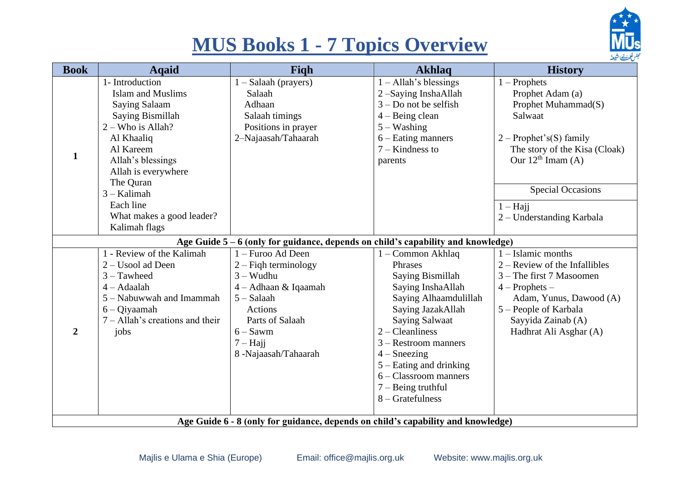

## **MUS Books 1 - 7 Topics Overview**

| <b>Book</b>                                                                      | <b>Aqaid</b>                                                                                                                                                                                                               | Fiqh                                                                                                                                                                                                | <b>Akhlaq</b>                                                                                                                                                                                                                                                                                                   | <b>History</b>                                                                                                                                                                                              |
|----------------------------------------------------------------------------------|----------------------------------------------------------------------------------------------------------------------------------------------------------------------------------------------------------------------------|-----------------------------------------------------------------------------------------------------------------------------------------------------------------------------------------------------|-----------------------------------------------------------------------------------------------------------------------------------------------------------------------------------------------------------------------------------------------------------------------------------------------------------------|-------------------------------------------------------------------------------------------------------------------------------------------------------------------------------------------------------------|
| $\mathbf{1}$                                                                     | 1- Introduction<br><b>Islam and Muslims</b><br><b>Saying Salaam</b><br><b>Saying Bismillah</b><br>$2 -$ Who is Allah?<br>Al Khaaliq<br>Al Kareem<br>Allah's blessings<br>Allah is everywhere<br>The Quran<br>$3 -$ Kalimah | $1 -$ Salaah (prayers)<br>Salaah<br>Adhaan<br>Salaah timings<br>Positions in prayer<br>2-Najaasah/Tahaarah                                                                                          | $1 -$ Allah's blessings<br>2-Saying InshaAllah<br>$3 - Do$ not be selfish<br>$4 - Being$ clean<br>$5 - Washington$<br>$6 -$ Eating manners<br>$7 -$ Kindness to<br>parents                                                                                                                                      | $1$ – Prophets<br>Prophet Adam (a)<br>Prophet Muhammad(S)<br>Salwaat<br>$2$ – Prophet's(S) family<br>The story of the Kisa (Cloak)<br>Our $12^{th}$ Imam (A)<br><b>Special Occasions</b>                    |
|                                                                                  | Each line<br>What makes a good leader?<br>Kalimah flags                                                                                                                                                                    |                                                                                                                                                                                                     |                                                                                                                                                                                                                                                                                                                 | $1 - \text{Hai}$<br>2 – Understanding Karbala                                                                                                                                                               |
|                                                                                  |                                                                                                                                                                                                                            | Age Guide 5 - 6 (only for guidance, depends on child's capability and knowledge)                                                                                                                    |                                                                                                                                                                                                                                                                                                                 |                                                                                                                                                                                                             |
| $\overline{2}$                                                                   | 1 - Review of the Kalimah<br>2 – Usool ad Deen<br>$3 - Tawheed$<br>$4 - Adaalah$<br>5 – Nabuwwah and Imammah<br>$6 - Q$ iyaamah<br>$7 -$ Allah's creations and their<br>jobs                                               | 1 – Furoo Ad Deen<br>$2 -$ Fiqh terminology<br>$3 - W$ udhu<br>$4 -$ Adhaan & Iqaamah<br>$5 - Salaab$<br><b>Actions</b><br>Parts of Salaah<br>$6 - Sawm$<br>$7 - \text{Hai}$<br>8-Najaasah/Tahaarah | 1 - Common Akhlaq<br>Phrases<br>Saying Bismillah<br>Saying InshaAllah<br>Saying Alhaamdulillah<br>Saying JazakAllah<br><b>Saying Salwaat</b><br>$2$ – Cleanliness<br>$3 -$ Restroom manners<br>$4 - Sneezing$<br>5 – Eating and drinking<br>$6 - Classroom$ manners<br>$7 - Being$ truthful<br>8 – Gratefulness | $1 -$ Islamic months<br>$2 -$ Review of the Infallibles<br>3 – The first 7 Masoomen<br>$4$ – Prophets –<br>Adam, Yunus, Dawood (A)<br>5 – People of Karbala<br>Sayyida Zainab (A)<br>Hadhrat Ali Asghar (A) |
| Age Guide 6 - 8 (only for guidance, depends on child's capability and knowledge) |                                                                                                                                                                                                                            |                                                                                                                                                                                                     |                                                                                                                                                                                                                                                                                                                 |                                                                                                                                                                                                             |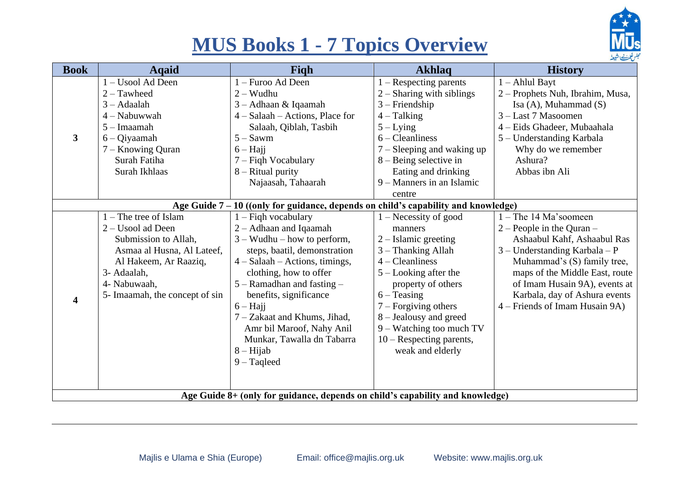

## **MUS Books 1 - 7 Topics Overview**

| <b>Book</b>                                                                   | <b>Aqaid</b>                                                                                                                                                                                 | Fiqh                                                                                                                                                                                                                                                                                                                                                                                            | <b>Akhlaq</b>                                                                                                                                                                                                                                                                                                   | <b>History</b>                                                                                                                                                                                                                                                                              |  |  |
|-------------------------------------------------------------------------------|----------------------------------------------------------------------------------------------------------------------------------------------------------------------------------------------|-------------------------------------------------------------------------------------------------------------------------------------------------------------------------------------------------------------------------------------------------------------------------------------------------------------------------------------------------------------------------------------------------|-----------------------------------------------------------------------------------------------------------------------------------------------------------------------------------------------------------------------------------------------------------------------------------------------------------------|---------------------------------------------------------------------------------------------------------------------------------------------------------------------------------------------------------------------------------------------------------------------------------------------|--|--|
| 3                                                                             | 1-Usool Ad Deen<br>$2$ – Tawheed<br>$3 - Adaalah$<br>$4 -$ Nabuwwah<br>$5 - Inaamah$<br>$6 - Q$ iyaamah<br>7 – Knowing Quran<br>Surah Fatiha<br>Surah Ikhlaas                                | - Furoo Ad Deen<br>$2 - W$ udhu<br>3 - Adhaan & Iqaamah<br>$4 - Salaab - Actions$ , Place for<br>Salaah, Qiblah, Tasbih<br>$5 -$ Sawm<br>$6 - \text{Hai}$<br>7 – Fiqh Vocabulary<br>$8 -$ Ritual purity<br>Najaasah, Tahaarah                                                                                                                                                                   | $1 -$ Respecting parents<br>$2 -$ Sharing with siblings<br>$3$ – Friendship<br>$4 - \text{Talking}$<br>$5 - Lying$<br>$6 - Cleanlines$<br>$7 -$ Sleeping and waking up<br>$8 - Being$ selective in<br>Eating and drinking<br>$9 -$ Manners in an Islamic<br>centre                                              | - Ahlul Bayt<br>2 – Prophets Nuh, Ibrahim, Musa,<br>Isa (A), Muhammad (S)<br>3 – Last 7 Masoomen<br>4 - Eids Ghadeer, Mubaahala<br>5 – Understanding Karbala<br>Why do we remember<br>Ashura?<br>Abbas ibn Ali                                                                              |  |  |
|                                                                               | Age Guide 7 - 10 ((only for guidance, depends on child's capability and knowledge)                                                                                                           |                                                                                                                                                                                                                                                                                                                                                                                                 |                                                                                                                                                                                                                                                                                                                 |                                                                                                                                                                                                                                                                                             |  |  |
| 4                                                                             | 1 – The tree of Islam<br>$2 -$ Usool ad Deen<br>Submission to Allah,<br>Asmaa al Husna, Al Lateef,<br>Al Hakeem, Ar Raaziq,<br>3- Adaalah,<br>4- Nabuwaah.<br>5- Imaamah, the concept of sin | - Figh vocabulary<br>2 – Adhaan and Iqaamah<br>$3 - Wudhu - how to perform,$<br>steps, baatil, demonstration<br>$4 - Salaab - Actions, timings,$<br>clothing, how to offer<br>$5 -$ Ramadhan and fasting $-$<br>benefits, significance<br>$6 - \text{Hai}$<br>7 – Zakaat and Khums, Jihad,<br>Amr bil Maroof, Nahy Anil<br>Munkar, Tawalla dn Tabarra<br>$8 - Hijab$<br>$9 - T_{\text{ad}}$ eed | $1 - Necessity of good$<br>manners<br>$2 -$ Islamic greeting<br>$3$ – Thanking Allah<br>$4$ – Cleanliness<br>$5 -$ Looking after the<br>property of others<br>$6 - Teasing$<br>$7 -$ Forgiving others<br>8 – Jealousy and greed<br>$9$ – Watching too much TV<br>$10$ – Respecting parents,<br>weak and elderly | 1 – The 14 Ma'soomeen<br>$2 - People$ in the Quran $-$<br>Ashaabul Kahf, Ashaabul Ras<br>3 – Understanding Karbala – P<br>Muhammad's (S) family tree,<br>maps of the Middle East, route<br>of Imam Husain 9A), events at<br>Karbala, day of Ashura events<br>4 – Friends of Imam Husain 9A) |  |  |
| Age Guide 8+ (only for guidance, depends on child's capability and knowledge) |                                                                                                                                                                                              |                                                                                                                                                                                                                                                                                                                                                                                                 |                                                                                                                                                                                                                                                                                                                 |                                                                                                                                                                                                                                                                                             |  |  |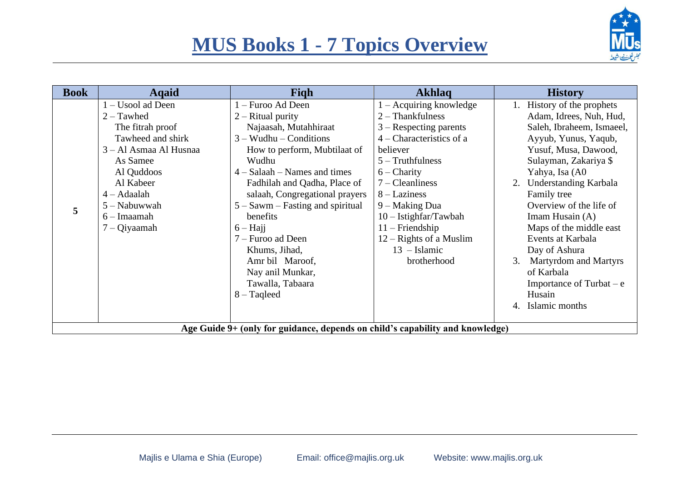

| <b>Book</b>                                                                   | <b>Agaid</b>           | Fiqh                                 | <b>Akhlaq</b>              | <b>History</b>                     |
|-------------------------------------------------------------------------------|------------------------|--------------------------------------|----------------------------|------------------------------------|
|                                                                               | 1 – Usool ad Deen      | - Furoo Ad Deen                      | 1 - Acquiring knowledge    | History of the prophets            |
|                                                                               | $2 - Tawhed$           | $2 -$ Ritual purity                  | $2$ – Thankfulness         | Adam, Idrees, Nuh, Hud,            |
|                                                                               | The fitrah proof       | Najaasah, Mutahhiraat                | $3 -$ Respecting parents   | Saleh, Ibraheem, Ismaeel,          |
|                                                                               | Tawheed and shirk      | $3 - Wudhu - Conditions$             | $4$ – Characteristics of a | Ayyub, Yunus, Yaqub,               |
|                                                                               | 3 – Al Asmaa Al Husnaa | How to perform, Mubtilaat of         | believer                   | Yusuf, Musa, Dawood,               |
|                                                                               | As Samee               | Wudhu                                | $5 - Truthfulness$         | Sulayman, Zakariya \$              |
|                                                                               | Al Quddoos             | $4 - Salaab - Names$ and times       | $6 -$ Charity              | Yahya, Isa (A0                     |
|                                                                               | Al Kabeer              | Fadhilah and Qadha, Place of         | $7$ – Cleanliness          | 2. Understanding Karbala           |
|                                                                               | $4 - Adaalah$          | salaah, Congregational prayers       | $8 - \text{Laziness}$      | Family tree                        |
| 5                                                                             | 5 – Nabuwwah           | $5 -$ Sawm $-$ Fasting and spiritual | 9 – Making Dua             | Overview of the life of            |
|                                                                               | $6 - I$ maamah         | benefits                             | $10$ – Istighfar/Tawbah    | Imam Husain (A)                    |
|                                                                               | 7 – Qiyaamah           | $6 - \text{Hai}$                     | $11$ – Friendship          | Maps of the middle east            |
|                                                                               |                        | 7 – Furoo ad Deen                    | 12 – Rights of a Muslim    | Events at Karbala                  |
|                                                                               |                        | Khums, Jihad,                        | $13$ – Islamic             | Day of Ashura                      |
|                                                                               |                        | Amr bil Maroof,                      | brotherhood                | <b>Martyrdom and Martyrs</b><br>3. |
|                                                                               |                        | Nay anil Munkar,                     |                            | of Karbala                         |
|                                                                               |                        | Tawalla, Tabaara                     |                            | Importance of Turbat $-e$          |
|                                                                               |                        | $8 - T_{\text{ad}}$ eed              |                            | Husain                             |
|                                                                               |                        |                                      |                            | Islamic months<br>4.               |
|                                                                               |                        |                                      |                            |                                    |
| Age Guide 9+ (only for guidance, depends on child's capability and knowledge) |                        |                                      |                            |                                    |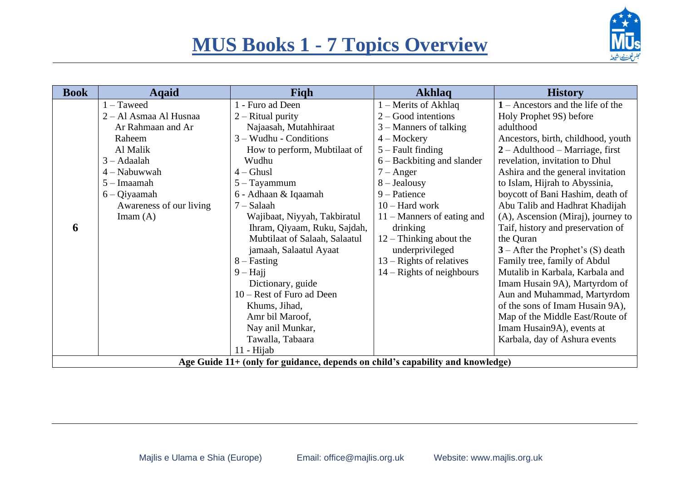

| <b>Book</b>                                                                    | <b>Aqaid</b>            | Fiqh                          | <b>Akhlaq</b>                | <b>History</b>                      |
|--------------------------------------------------------------------------------|-------------------------|-------------------------------|------------------------------|-------------------------------------|
|                                                                                | $1 - T$ aweed           | 1 - Furo ad Deen              | 1 – Merits of Akhlaq         | $1 -$ Ancestors and the life of the |
|                                                                                | 2 - Al Asmaa Al Husnaa  | $2 -$ Ritual purity           | $2 - Good$ intentions        | Holy Prophet 9S) before             |
|                                                                                | Ar Rahmaan and Ar       | Najaasah, Mutahhiraat         | $3 -$ Manners of talking     | adulthood                           |
|                                                                                | Raheem                  | $3 - Wudhu - Conditions$      | $4 -$ Mockery                | Ancestors, birth, childhood, youth  |
|                                                                                | Al Malik                | How to perform, Mubtilaat of  | $5 -$ Fault finding          | $2 -$ Adulthood – Marriage, first   |
|                                                                                | $3 - Adaalah$           | Wudhu                         | 6 – Backbiting and slander   | revelation, invitation to Dhul      |
|                                                                                | 4 - Nabuwwah            | $4 - Ghus1$                   | $7 -$ Anger                  | Ashira and the general invitation   |
|                                                                                | 5 - Imaamah             | $5 - Tayammum$                | $8 - \text{Jcalousy}$        | to Islam, Hijrah to Abyssinia,      |
|                                                                                | $6 - Q$ iyaamah         | 6 - Adhaan & Iqaamah          | $9 - Patience$               | boycott of Bani Hashim, death of    |
|                                                                                | Awareness of our living | $7 -$ Salaah                  | $10 - Hard$ work             | Abu Talib and Hadhrat Khadijah      |
|                                                                                | $\text{Imam}(\text{A})$ | Wajibaat, Niyyah, Takbiratul  | $11 -$ Manners of eating and | (A), Ascension (Miraj), journey to  |
| 6                                                                              |                         | Ihram, Qiyaam, Ruku, Sajdah,  | drinking                     | Taif, history and preservation of   |
|                                                                                |                         | Mubtilaat of Salaah, Salaatul | $12$ – Thinking about the    | the Quran                           |
|                                                                                |                         | jamaah, Salaatul Ayaat        | underprivileged              | $3$ – After the Prophet's (S) death |
|                                                                                |                         | $8 -$ Fasting                 | $13 -$ Rights of relatives   | Family tree, family of Abdul        |
|                                                                                |                         | $9 - \text{Hai}$              | $14 -$ Rights of neighbours  | Mutalib in Karbala, Karbala and     |
|                                                                                |                         | Dictionary, guide             |                              | Imam Husain 9A), Martyrdom of       |
|                                                                                |                         | 10 – Rest of Furo ad Deen     |                              | Aun and Muhammad, Martyrdom         |
|                                                                                |                         | Khums, Jihad,                 |                              | of the sons of Imam Husain 9A),     |
|                                                                                |                         | Amr bil Maroof,               |                              | Map of the Middle East/Route of     |
|                                                                                |                         | Nay anil Munkar,              |                              | Imam Husain9A), events at           |
|                                                                                |                         | Tawalla, Tabaara              |                              | Karbala, day of Ashura events       |
|                                                                                |                         | $11 - Hijab$                  |                              |                                     |
| Age Guide 11+ (only for guidance, depends on child's capability and knowledge) |                         |                               |                              |                                     |